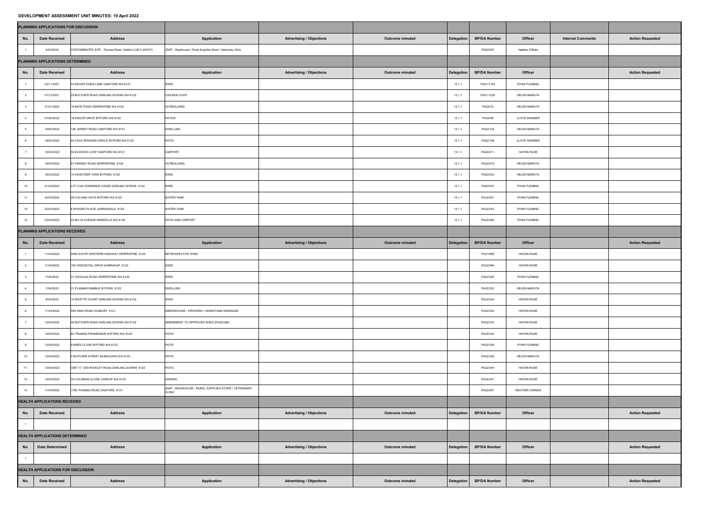## **DEVELOPMENT ASSESSMENT UNIT MINUTES: 19 April 2022**

| PLANNING APPLICATIONS FOR DISCUSSION  |                                           |                                                        |                                                                       |                                 |                        |            |                     |                        |                                                     |
|---------------------------------------|-------------------------------------------|--------------------------------------------------------|-----------------------------------------------------------------------|---------------------------------|------------------------|------------|---------------------|------------------------|-----------------------------------------------------|
| No.                                   | <b>Date Received</b>                      | <b>Address</b>                                         | <b>Application</b>                                                    | <b>Advertising / Objections</b> | <b>Outcome minuted</b> | Delegation | <b>BP/DA Number</b> | <b>Officer</b>         | <b>Action Requested</b><br><b>Internal Comments</b> |
|                                       | 4/04/2022                                 | CONTAMINATED SITE - Thomas Road, Oakford (L801) 400473 | JDAP - Roadhouse / Rural Supplies Store / Veterinary Clinic           |                                 |                        |            | PA22/297            | Heather O'Brien        |                                                     |
|                                       | PLANNING APPLICATIONS DETERMINED          |                                                        |                                                                       |                                 |                        |            |                     |                        |                                                     |
| No.                                   | <b>Date Received</b>                      | <b>Address</b>                                         | <b>Application</b>                                                    | <b>Advertising / Objections</b> | <b>Outcome minuted</b> | Delegation | <b>BP/DA Number</b> | <b>Officer</b>         | <b>Action Requested</b>                             |
|                                       | 23/11/2021                                | 43 MOUNT EDEN LANE OAKFORD WA 6121                     | SHED                                                                  |                                 |                        | 12.1.1     | PA21/1163           | <b>RYAN FLEMING</b>    |                                                     |
|                                       | 07/12/2021                                | 29 BUTCHER ROAD DARLING DOWNS WA 6122                  | CHICKEN COOP                                                          |                                 |                        | 12.1.1     | PA21/1235           | <b>HELEN MARUTA</b>    |                                                     |
|                                       | 31/01/2022                                | 18 BATE ROAD SERPENTINE WA 6125                        | OUTBUILDING                                                           |                                 |                        | 12.1.1     | PA22/72             | <b>HELEN MARUTA</b>    |                                                     |
|                                       | 07/02/2022                                | 18 KNOOP DRIVE BYFORD WA 6122                          | PATIOS                                                                |                                 |                        | 12.1.1     | PA22/98             | <b>LLOYD SKINNER</b>   |                                                     |
|                                       | 10/02/2022                                | 148 JERSEY ROAD OAKFORD WA 6121                        | <b>DWELLING</b>                                                       |                                 |                        | 12.1.1     | PA22/124            | <b>HELEN MARUTA</b>    |                                                     |
|                                       | 18/02/2022                                | 44 COULTERHAND CIRCLE BYFORD WA 6122                   | <b>PATIO</b>                                                          |                                 |                        | 12.1.1     | PA22/148            | <b>LLOYD SKINNER</b>   |                                                     |
|                                       | 15/03/2022                                | 54 ELWOOD LOOP OAKFORD WA 6121                         | CARPORT                                                               |                                 |                        | 12.1.1     | PA22/211            | <b>HAYDN RUSE</b>      |                                                     |
|                                       | 16/03/2022                                | 67 HARDEY ROAD SERPENTINE 6125                         | OUTBUILDING                                                           |                                 |                        | 12.1.1     | PA22/216            | <b>HELEN MARUTA</b>    |                                                     |
|                                       | 16/03/2022                                | 14 HOWITZER TURN BYFORD 6122                           | SHED                                                                  |                                 |                        | 12.1.1     | PA22/230            | <b>HELEN MARUTA</b>    |                                                     |
| 10                                    | 21/03/2022                                | LOT 2164 DORIEMUS CHASE DARLING DOWNS 6122             | SHED                                                                  |                                 |                        | 12.1.1     | PA22/247            | <b>RYAN FLEMING</b>    |                                                     |
| 11                                    | 22/03/2022                                | 29 CULHAM VISTA BYFORD WA 6122                         | <b>WATER TANK</b>                                                     |                                 |                        | 12.1.1     | PA22/251            | <b>RYAN FLEMING</b>    |                                                     |
| 12                                    | 22/03/2022                                | 6 RHODES PLACE JARRAHDALE 6124                         | <b>WATER TANK</b>                                                     |                                 |                        | 12.1.1     | PA22/253            | <b>RYAN FLEMING</b>    |                                                     |
| 13                                    | 23/03/2022                                | 20 BILYA AVENUE MARDELLA WA 6125                       | PATIO AND CARPORT                                                     |                                 |                        | 12.1.1     | PA22/260            | <b>RYAN FLEMING</b>    |                                                     |
| PLANNING APPLICATIONS RECEIVED        |                                           |                                                        |                                                                       |                                 |                        |            |                     |                        |                                                     |
| No.                                   | <b>Date Received</b>                      | <b>Address</b>                                         | <b>Application</b>                                                    | <b>Advertising / Objections</b> | <b>Outcome minuted</b> | Delegation | <b>BP/DA Number</b> | <b>Officer</b>         | <b>Action Requested</b>                             |
|                                       | 11/04/2022                                | 2489 SOUTH WESTERN HIGHWAY SERPENTINE 6125             | <b>RETROSPECTIVE SHED</b>                                             |                                 |                        |            | PA21/966            | <b>HAYDN RUSE</b>      |                                                     |
|                                       | 11/04/2022                                | 102 WEDGETAIL DRIVE KARRAKUP 6122                      | SHED                                                                  |                                 |                        |            | PA22/294            | <b>HAYDN RUSE</b>      |                                                     |
|                                       | 7/04/2022                                 | 31 WOOLGA ROAD SERPENTINE WA 6125                      | <b>SHED</b>                                                           |                                 |                        |            | PA22/320            | <b>RYAN FLEMING</b>    |                                                     |
|                                       | 7/04/2022                                 | 31 PLAIMAR RAMBLE BYFORD 6122                          | <b>DWELLING</b>                                                       |                                 |                        |            | PA22/322            | <b>HELEN MARUTA</b>    |                                                     |
|                                       | 8/04/2022                                 | 15 RIVETTE COURT DARLING DOWNS WA 6122                 | SHED                                                                  |                                 |                        |            | PA22/324            | <b>HAYDN RUSE</b>      |                                                     |
|                                       | 11/04/2022                                | 494 KING ROAD OLDBURY 6121                             | GREENHOUSE / ORCHARD / HARDSTAND DRAINAGE                             |                                 |                        |            | PA22/330            | <b>HAYDN RUSE</b>      |                                                     |
|                                       | 12/04/2022                                | 49 BUTCHER ROAD DARLING DOWNS WA 6122                  | AMENDMENT TO APPROVED SHED (PA20/286)                                 |                                 |                        |            | PA22/333            | <b>HAYDN RUSE</b>      |                                                     |
|                                       | 12/04/2022                                | 63 TRUMAN PROMENADE BYFORD WA 6122                     | <b>PATIO</b>                                                          |                                 |                        |            | PA22/334            | <b>HAYDN RUSE</b>      |                                                     |
|                                       | 13/04/2022                                | 9 BREN CLOSE BYFORD WA 6122                            | PATIO                                                                 |                                 |                        |            | PA22/336            | <b>RYAN FLEMING</b>    |                                                     |
| 10                                    | 13/04/2022                                | 4 BUTCHER STREET MUNDIJONG WA 6123                     | <b>PATIO</b>                                                          |                                 |                        |            | PA22/338            | <b>HELEN MARUTA</b>    |                                                     |
|                                       | 13/04/2022                                | UNIT 17 1256 ROWLEY ROAD DARLING DOWNS 6122            | <b>PATIO</b>                                                          |                                 |                        |            | PA22/344            | <b>HAYDN RUSE</b>      |                                                     |
| 12                                    | 13/04/2022                                | 35 COLEMAN CLOSE CARDUP WA 6122                        | AWNING                                                                |                                 |                        |            | PA22/347            | <b>HAYDN RUSE</b>      |                                                     |
| 13                                    | 11/04/2022                                | 1780 THOMAS ROAD OAKFORD 6121                          | JDAP - ROADHOUSE / RURAL SUPPLIES STORE / VETERINARY<br><b>CLINIC</b> |                                 |                        |            | PA22/297            | <b>HEATHER O'BRIEN</b> |                                                     |
| <b>HEALTH APPLICATIONS RECEIVED</b>   |                                           |                                                        |                                                                       |                                 |                        |            |                     |                        |                                                     |
| No.                                   | Date Received                             | <b>Address</b>                                         | <b>Application</b>                                                    | <b>Advertising / Objections</b> | <b>Outcome minuted</b> | Delegation | <b>BP/DA Number</b> | <b>Officer</b>         | <b>Action Requested</b>                             |
|                                       |                                           |                                                        |                                                                       |                                 |                        |            |                     |                        |                                                     |
| <b>HEALTH APPLICATIONS DETERMINED</b> |                                           |                                                        |                                                                       |                                 |                        |            |                     |                        |                                                     |
| No.                                   | Date Determined                           | <b>Address</b>                                         | <b>Application</b>                                                    | <b>Advertising / Objections</b> | <b>Outcome minuted</b> | Delegation | <b>BP/DA Number</b> | <b>Officer</b>         | <b>Action Requested</b>                             |
|                                       |                                           |                                                        |                                                                       |                                 |                        |            |                     |                        |                                                     |
|                                       | <b>HEALTH APPLICATIONS FOR DISCUSSION</b> |                                                        |                                                                       |                                 |                        |            |                     |                        |                                                     |
| No.                                   | <b>Date Received</b>                      | <b>Address</b>                                         | <b>Application</b>                                                    | <b>Advertising / Objections</b> | <b>Outcome minuted</b> | Delegation | <b>BP/DA Number</b> | <b>Officer</b>         | <b>Action Requested</b>                             |